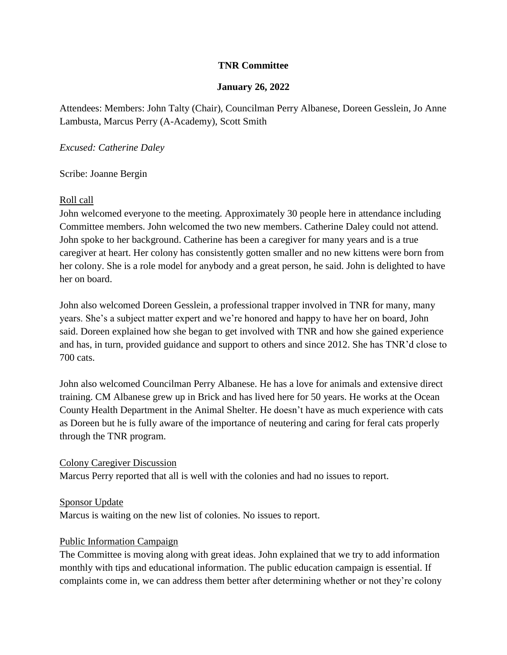# **TNR Committee**

#### **January 26, 2022**

Attendees: Members: John Talty (Chair), Councilman Perry Albanese, Doreen Gesslein, Jo Anne Lambusta, Marcus Perry (A-Academy), Scott Smith

*Excused: Catherine Daley*

Scribe: Joanne Bergin

#### Roll call

John welcomed everyone to the meeting. Approximately 30 people here in attendance including Committee members. John welcomed the two new members. Catherine Daley could not attend. John spoke to her background. Catherine has been a caregiver for many years and is a true caregiver at heart. Her colony has consistently gotten smaller and no new kittens were born from her colony. She is a role model for anybody and a great person, he said. John is delighted to have her on board.

John also welcomed Doreen Gesslein, a professional trapper involved in TNR for many, many years. She's a subject matter expert and we're honored and happy to have her on board, John said. Doreen explained how she began to get involved with TNR and how she gained experience and has, in turn, provided guidance and support to others and since 2012. She has TNR'd close to 700 cats.

John also welcomed Councilman Perry Albanese. He has a love for animals and extensive direct training. CM Albanese grew up in Brick and has lived here for 50 years. He works at the Ocean County Health Department in the Animal Shelter. He doesn't have as much experience with cats as Doreen but he is fully aware of the importance of neutering and caring for feral cats properly through the TNR program.

#### Colony Caregiver Discussion

Marcus Perry reported that all is well with the colonies and had no issues to report.

Sponsor Update

Marcus is waiting on the new list of colonies. No issues to report.

# Public Information Campaign

The Committee is moving along with great ideas. John explained that we try to add information monthly with tips and educational information. The public education campaign is essential. If complaints come in, we can address them better after determining whether or not they're colony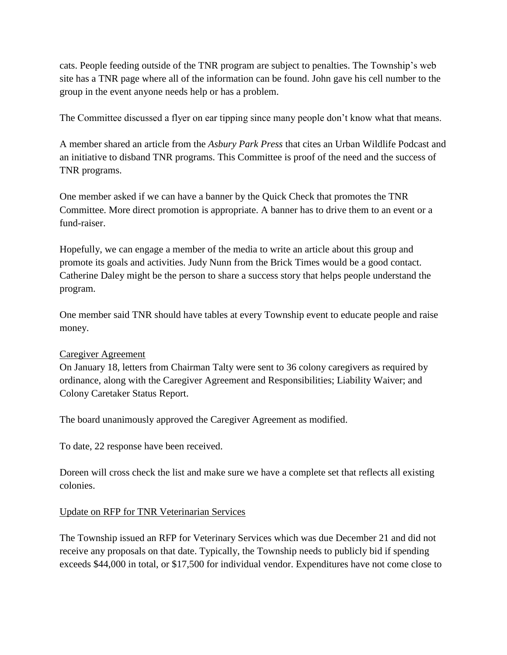cats. People feeding outside of the TNR program are subject to penalties. The Township's web site has a TNR page where all of the information can be found. John gave his cell number to the group in the event anyone needs help or has a problem.

The Committee discussed a flyer on ear tipping since many people don't know what that means.

A member shared an article from the *Asbury Park Press* that cites an Urban Wildlife Podcast and an initiative to disband TNR programs. This Committee is proof of the need and the success of TNR programs.

One member asked if we can have a banner by the Quick Check that promotes the TNR Committee. More direct promotion is appropriate. A banner has to drive them to an event or a fund-raiser.

Hopefully, we can engage a member of the media to write an article about this group and promote its goals and activities. Judy Nunn from the Brick Times would be a good contact. Catherine Daley might be the person to share a success story that helps people understand the program.

One member said TNR should have tables at every Township event to educate people and raise money.

# Caregiver Agreement

On January 18, letters from Chairman Talty were sent to 36 colony caregivers as required by ordinance, along with the Caregiver Agreement and Responsibilities; Liability Waiver; and Colony Caretaker Status Report.

The board unanimously approved the Caregiver Agreement as modified.

To date, 22 response have been received.

Doreen will cross check the list and make sure we have a complete set that reflects all existing colonies.

# Update on RFP for TNR Veterinarian Services

The Township issued an RFP for Veterinary Services which was due December 21 and did not receive any proposals on that date. Typically, the Township needs to publicly bid if spending exceeds \$44,000 in total, or \$17,500 for individual vendor. Expenditures have not come close to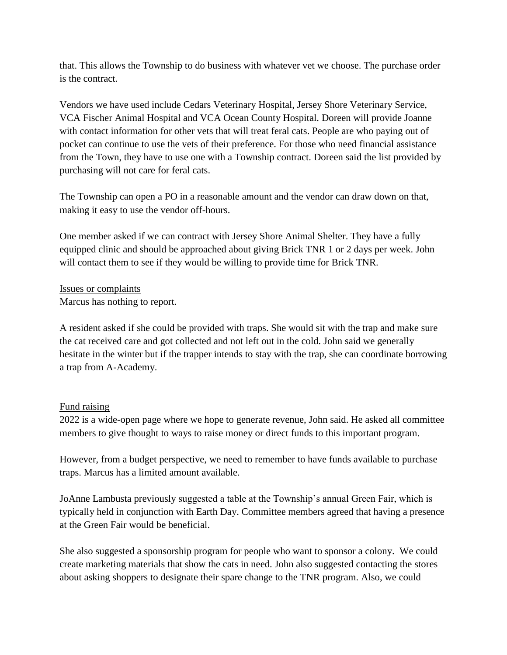that. This allows the Township to do business with whatever vet we choose. The purchase order is the contract.

Vendors we have used include Cedars Veterinary Hospital, Jersey Shore Veterinary Service, VCA Fischer Animal Hospital and VCA Ocean County Hospital. Doreen will provide Joanne with contact information for other vets that will treat feral cats. People are who paying out of pocket can continue to use the vets of their preference. For those who need financial assistance from the Town, they have to use one with a Township contract. Doreen said the list provided by purchasing will not care for feral cats.

The Township can open a PO in a reasonable amount and the vendor can draw down on that, making it easy to use the vendor off-hours.

One member asked if we can contract with Jersey Shore Animal Shelter. They have a fully equipped clinic and should be approached about giving Brick TNR 1 or 2 days per week. John will contact them to see if they would be willing to provide time for Brick TNR.

Issues or complaints Marcus has nothing to report.

A resident asked if she could be provided with traps. She would sit with the trap and make sure the cat received care and got collected and not left out in the cold. John said we generally hesitate in the winter but if the trapper intends to stay with the trap, she can coordinate borrowing a trap from A-Academy.

# Fund raising

2022 is a wide-open page where we hope to generate revenue, John said. He asked all committee members to give thought to ways to raise money or direct funds to this important program.

However, from a budget perspective, we need to remember to have funds available to purchase traps. Marcus has a limited amount available.

JoAnne Lambusta previously suggested a table at the Township's annual Green Fair, which is typically held in conjunction with Earth Day. Committee members agreed that having a presence at the Green Fair would be beneficial.

She also suggested a sponsorship program for people who want to sponsor a colony. We could create marketing materials that show the cats in need. John also suggested contacting the stores about asking shoppers to designate their spare change to the TNR program. Also, we could